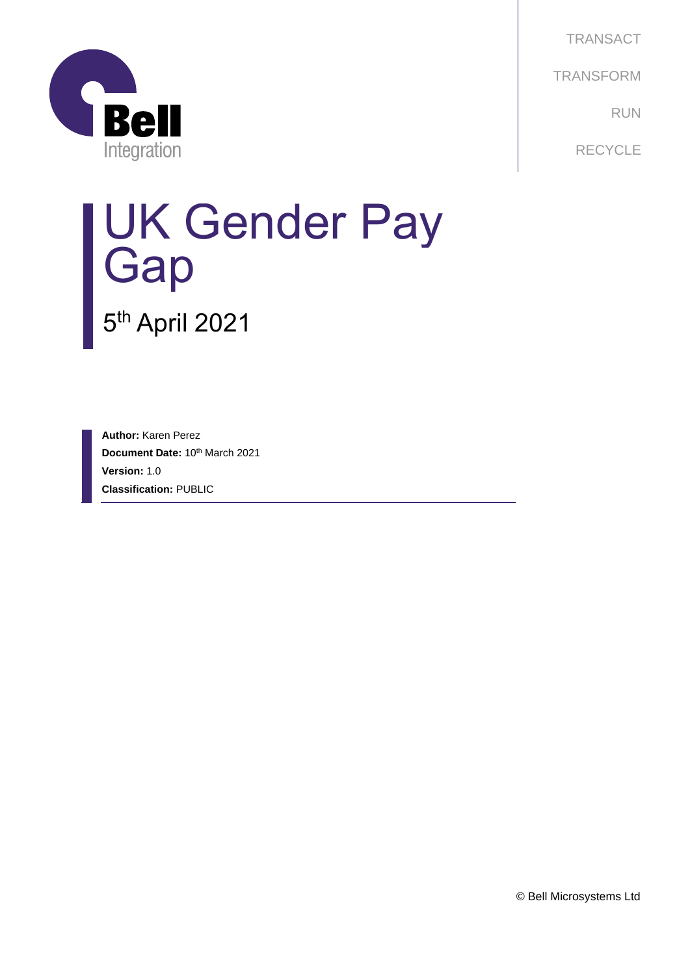

**TRANSACT TRANSFORM** RUN **RECYCLE** 

# UK Gender Pay **Gap**

5<sup>th</sup> April 2021

**Author:** Karen Perez **Document Date: 10th March 2021 Version:** 1.0 **Classification:** PUBLIC

© Bell Microsystems Ltd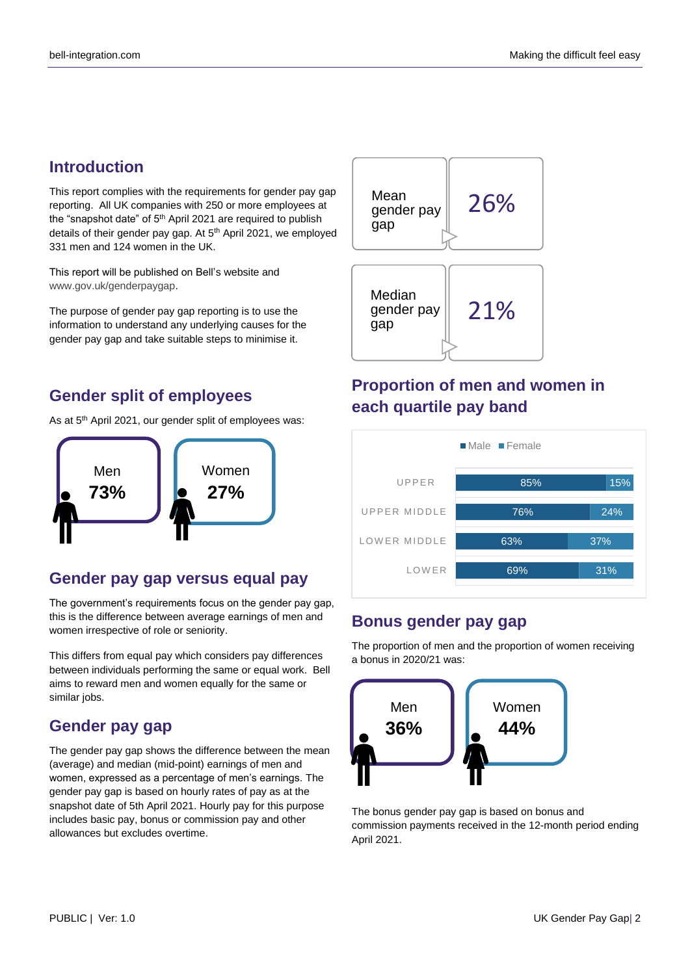## **Introduction**

This report complies with the requirements for gender pay gap reporting. All UK companies with 250 or more employees at the "snapshot date" of 5<sup>th</sup> April 2021 are required to publish details of their gender pay gap. At 5<sup>th</sup> April 2021, we employed 331 men and 124 women in the UK.

This report will be published on Bell's website and [www.gov.uk/genderpaygap.](http://www.gov.uk/genderpaygap)

The purpose of gender pay gap reporting is to use the information to understand any underlying causes for the gender pay gap and take suitable steps to minimise it.

## **Gender split of employees**

As at 5<sup>th</sup> April 2021, our gender split of employees was:



## **Gender pay gap versus equal pay**

The government's requirements focus on the gender pay gap, this is the difference between average earnings of men and women irrespective of role or seniority.

This differs from equal pay which considers pay differences between individuals performing the same or equal work. Bell aims to reward men and women equally for the same or similar jobs.

### **Gender pay gap**

The gender pay gap shows the difference between the mean (average) and median (mid-point) earnings of men and women, expressed as a percentage of men's earnings. The gender pay gap is based on hourly rates of pay as at the snapshot date of 5th April 2021. Hourly pay for this purpose includes basic pay, bonus or commission pay and other allowances but excludes overtime.



## **Proportion of men and women in each quartile pay band**



### **Bonus gender pay gap**

The proportion of men and the proportion of women receiving a bonus in 2020/21 was:



The bonus gender pay gap is based on bonus and commission payments received in the 12-month period ending April 2021.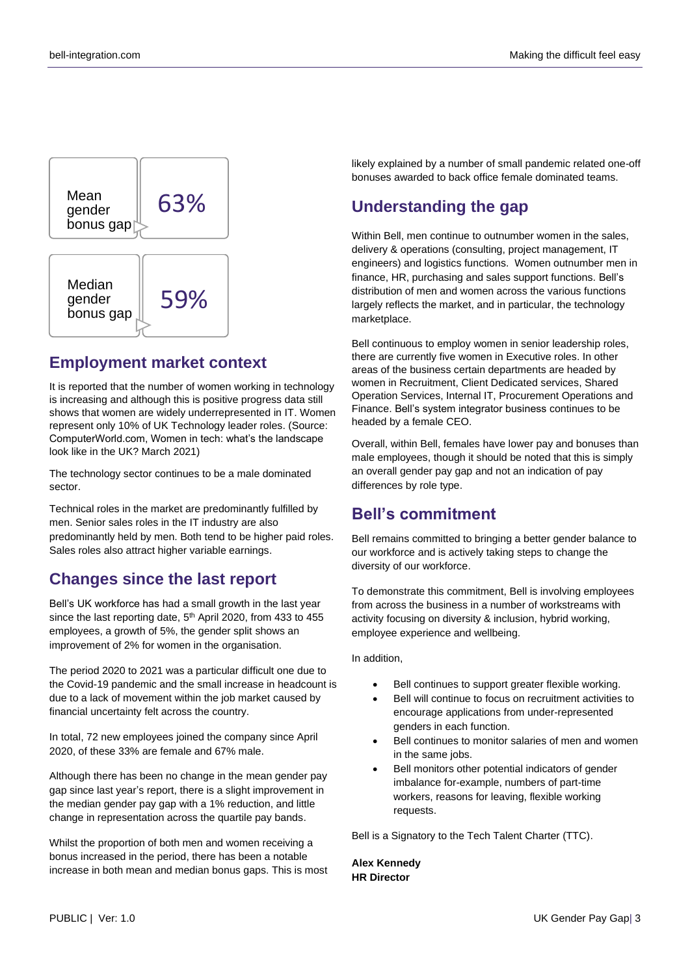

#### **Employment market context**

It is reported that the number of women working in technology is increasing and although this is positive progress data still shows that women are widely underrepresented in IT. Women represent only 10% of UK Technology leader roles. (Source: ComputerWorld.com, Women in tech: what's the landscape look like in the UK? March 2021)

The technology sector continues to be a male dominated sector.

Technical roles in the market are predominantly fulfilled by men. Senior sales roles in the IT industry are also predominantly held by men. Both tend to be higher paid roles. Sales roles also attract higher variable earnings.

### **Changes since the last report**

Bell's UK workforce has had a small growth in the last year since the last reporting date, 5<sup>th</sup> April 2020, from 433 to 455 employees, a growth of 5%, the gender split shows an improvement of 2% for women in the organisation.

The period 2020 to 2021 was a particular difficult one due to the Covid-19 pandemic and the small increase in headcount is due to a lack of movement within the job market caused by financial uncertainty felt across the country.

In total, 72 new employees joined the company since April 2020, of these 33% are female and 67% male.

Although there has been no change in the mean gender pay gap since last year's report, there is a slight improvement in the median gender pay gap with a 1% reduction, and little change in representation across the quartile pay bands.

Whilst the proportion of both men and women receiving a bonus increased in the period, there has been a notable increase in both mean and median bonus gaps. This is most likely explained by a number of small pandemic related one-off bonuses awarded to back office female dominated teams.

## **Understanding the gap**

Within Bell, men continue to outnumber women in the sales, delivery & operations (consulting, project management, IT engineers) and logistics functions. Women outnumber men in finance, HR, purchasing and sales support functions. Bell's distribution of men and women across the various functions largely reflects the market, and in particular, the technology marketplace.

Bell continuous to employ women in senior leadership roles, there are currently five women in Executive roles. In other areas of the business certain departments are headed by women in Recruitment, Client Dedicated services, Shared Operation Services, Internal IT, Procurement Operations and Finance. Bell's system integrator business continues to be headed by a female CEO.

Overall, within Bell, females have lower pay and bonuses than male employees, though it should be noted that this is simply an overall gender pay gap and not an indication of pay differences by role type.

## **Bell's commitment**

Bell remains committed to bringing a better gender balance to our workforce and is actively taking steps to change the diversity of our workforce.

To demonstrate this commitment, Bell is involving employees from across the business in a number of workstreams with activity focusing on diversity & inclusion, hybrid working, employee experience and wellbeing.

In addition,

- Bell continues to support greater flexible working.
- Bell will continue to focus on recruitment activities to encourage applications from under-represented genders in each function.
- Bell continues to monitor salaries of men and women in the same jobs.
- Bell monitors other potential indicators of gender imbalance for-example, numbers of part-time workers, reasons for leaving, flexible working requests.

Bell is a Signatory to the Tech Talent Charter (TTC).

#### **Alex Kennedy HR Director**